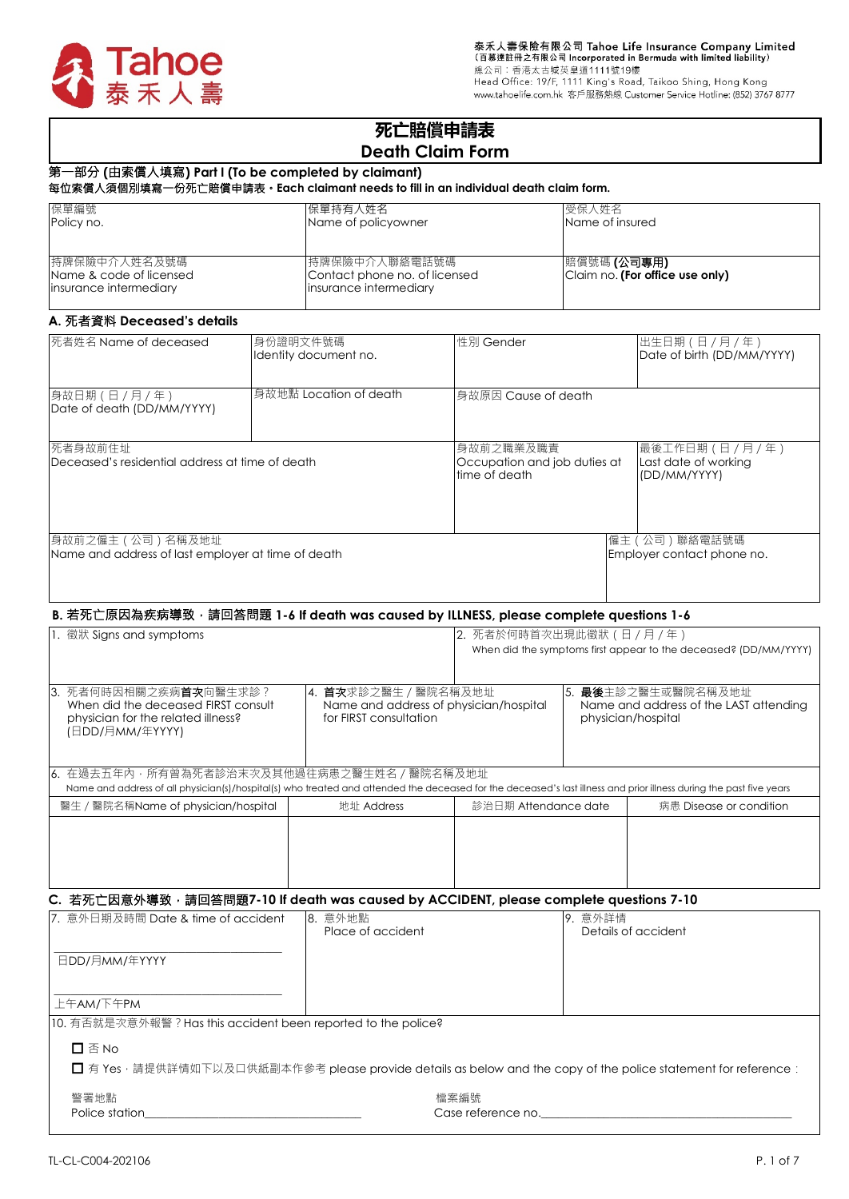

泰禾人壽保險有限公司 Tahoe Life Insurance Company Limited<br>(百慕達註冊之有限公司 Incorporated in Bermuda with limited liability)<br>總公司:香港太古城英皇道1111號19樓<br>Head Office: 19/F, 1111 King's Road, Taikoo Shing, Hong Kong<br>www.tahoelife.com.hk 客戶服務熱線 Cus

# **死亡賠償申請表 Death Claim Form**

# 第一部分 **(**由索償人填寫**) Part I (To be completed by claimant)**

#### 每位索償人須個別填寫一份死亡賠償申請表。**Each claimant needs to fill in an individual death claim form.**

| 保單編號                                                               | 保單持有人姓名                                                                    | 受保人姓名                                          |
|--------------------------------------------------------------------|----------------------------------------------------------------------------|------------------------------------------------|
| Policy no.                                                         | Name of policyowner                                                        | Name of insured                                |
| 持牌保險中介人姓名及號碼 <br>Name & code of licensed<br>insurance intermediary | 持牌保險中介人聯絡電話號碼 <br>Contact phone no. of licensed<br>linsurance intermediary | 賠償號碼 (公司專用)<br>Claim no. (For office use only) |

## **A.** 死者資料 **Deceased's details**

| 死者姓名 Name of deceased                                                 | 身份證明文件號碼 <br>Identity document no. | 性別 Gender                                                   | 出生日期 (日 / 月 / 年)<br>Date of birth (DD/MM/YYYY)        |
|-----------------------------------------------------------------------|------------------------------------|-------------------------------------------------------------|-------------------------------------------------------|
| 身故日期 (日 / 月 / 年)<br>Date of death (DD/MM/YYYY)                        | 身故地點 Location of death             | 身故原因 Cause of death                                         |                                                       |
| 死者身故前住址<br>Deceased's residential address at time of death            |                                    | 身故前之職業及職責 <br>Occupation and job duties at<br>time of death | 最後工作日期(日/月/年)<br>Last date of working<br>(DD/MM/YYYY) |
| 身故前之僱主(公司)名稱及地址<br>Name and address of last employer at time of death |                                    |                                                             | 僱主 ( 公司 ) 聯絡電話號碼<br>Employer contact phone no.        |

## **B.** 若死亡原因為疾病導致,請回答問題 **1-6 If death was caused by ILLNESS, please complete questions 1-6**

| 1. 徵狀 Signs and symptoms                                                                                                                                                                                         |                                                                                           | 2. 死者於何時首次出現此徵狀 (日 / 月 / 年) | When did the symptoms first appear to the deceased? (DD/MM/YYYY)                            |
|------------------------------------------------------------------------------------------------------------------------------------------------------------------------------------------------------------------|-------------------------------------------------------------------------------------------|-----------------------------|---------------------------------------------------------------------------------------------|
| 13. 死者何時因相關之疾病 <b>首次</b> 向醫生求診?<br>When did the deceased FIRST consult<br>physician for the related illness?<br>(日DD/月MM/年YYYY)                                                                                  | 14. 首次求診之醫生 / 醫院名稱及地址<br>Name and address of physician/hospital<br>for FIRST consultation |                             | 15. <b>最後</b> 主診之醫生或醫院名稱及地址<br>Name and address of the LAST attending<br>physician/hospital |
| 6. 在過去五年內・所有曾為死者診治末次及其他過往病患之醫生姓名/醫院名稱及地址 <br>Name and address of all physician(s)/hospital(s) who treated and attended the deceased for the deceased's last illness and prior illness during the past five years |                                                                                           |                             |                                                                                             |
| 醫生 / 醫院名稱Name of physician/hospital                                                                                                                                                                              | 地址 Address                                                                                | 診治日期 Attendance date        | 病患 Disease or condition                                                                     |
|                                                                                                                                                                                                                  |                                                                                           |                             |                                                                                             |

#### C. 若死亡因意外導致, 請回答問題7-10 If death was caused by ACCIDENT, please complete questions 7-10

| 17. 意外日期及時間 Date & time of accident                           | 8. 意外地點            | 9. 意外詳情                                                                                                          |
|---------------------------------------------------------------|--------------------|------------------------------------------------------------------------------------------------------------------|
|                                                               | Place of accident  | Details of accident                                                                                              |
|                                                               |                    |                                                                                                                  |
| 日DD/月MM/年YYYY                                                 |                    |                                                                                                                  |
|                                                               |                    |                                                                                                                  |
| 上午AM/下午PM                                                     |                    |                                                                                                                  |
| 10. 有否就是次意外報警? Has this accident been reported to the police? |                    |                                                                                                                  |
| $\square$ $\overline{\triangle}$ No                           |                    |                                                                                                                  |
|                                                               |                    | □ 有 Yes · 請提供詳情如下以及口供紙副本作參考 please provide details as below and the copy of the police statement for reference : |
|                                                               |                    |                                                                                                                  |
| 警署地點                                                          | 檔案編號               |                                                                                                                  |
| Police station                                                | Case reference no. |                                                                                                                  |

| TL-CL-C004-202106 | P. 1 of 7 |  |
|-------------------|-----------|--|
|                   |           |  |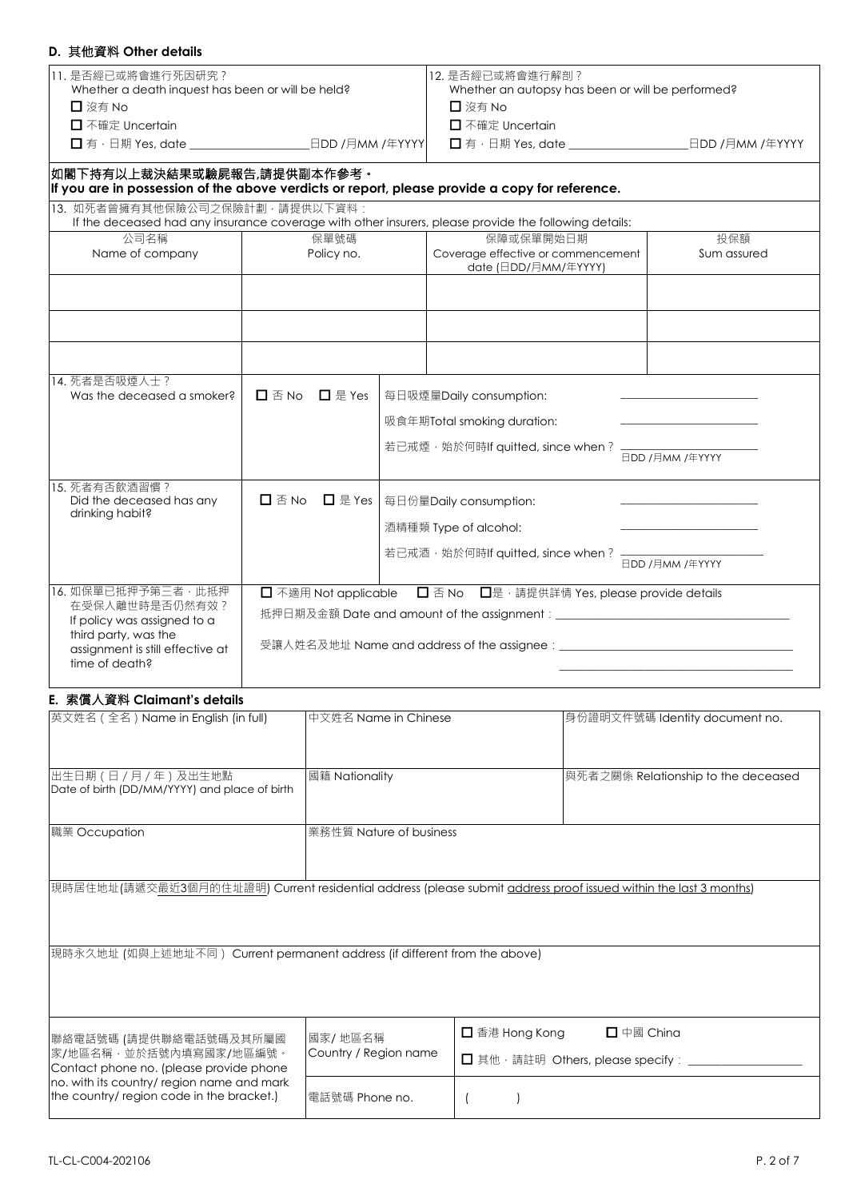# **D.** 其他資料 **Other details**

| D. * ISEM ONE QEQIS                                                                                                                                |                                                     |                                                                                                       |                                              |
|----------------------------------------------------------------------------------------------------------------------------------------------------|-----------------------------------------------------|-------------------------------------------------------------------------------------------------------|----------------------------------------------|
| 11. 是否經已或將會進行死因研究?<br>Whether a death inquest has been or will be held?<br>□ 沒有 No<br>□ 不確定 Uncertain                                              |                                                     | 12. 是否經已或將會進行解剖?<br>Whether an autopsy has been or will be performed?<br>□ 沒有 No<br>□ 不確定 Uncertain   |                                              |
|                                                                                                                                                    |                                                     |                                                                                                       |                                              |
| 如閣下持有以上裁決結果或驗屍報告,請提供副本作參考。                                                                                                                         |                                                     | If you are in possession of the above verdicts or report, please provide a copy for reference.        |                                              |
| 13. 如死者曾擁有其他保險公司之保險計劃,請提供以下資料:                                                                                                                     |                                                     | If the deceased had any insurance coverage with other insurers, please provide the following details: |                                              |
| 公司名稱<br>Name of company                                                                                                                            | 保單號碼<br>Policy no.                                  | 保障或保單開始日期<br>Coverage effective or commencement<br>date (日DD/月MM/年YYYY)                               | 投保額<br>Sum assured                           |
|                                                                                                                                                    |                                                     |                                                                                                       |                                              |
|                                                                                                                                                    |                                                     |                                                                                                       |                                              |
|                                                                                                                                                    |                                                     |                                                                                                       |                                              |
| 14. 死者是否吸煙人士?<br>Was the deceased a smoker?                                                                                                        | $\Box$ 是 Yes<br>$\square$ $\overline{\triangle}$ No | 每日吸煙量Daily consumption:                                                                               |                                              |
|                                                                                                                                                    |                                                     | 吸食年期Total smoking duration:                                                                           | the control of the control of the control of |
|                                                                                                                                                    |                                                     | 若已戒煙, 始於何時If quitted, since when?                                                                     | 日DD /月MM /年YYYY                              |
| 15. 死者有否飲酒習慣?<br>Did the deceased has any<br>drinking habit?                                                                                       | $\square$ $\overline{\cong}$ No<br>□ 是 Yes          | 每日份量Daily consumption:                                                                                |                                              |
|                                                                                                                                                    |                                                     | 酒精種類 Type of alcohol:                                                                                 |                                              |
|                                                                                                                                                    |                                                     | 若已戒酒, 始於何時If quitted, since when?                                                                     | 日DD /月MM /年YYYY                              |
| 16. 如保單已抵押予第三者, 此抵押<br>在受保人離世時是否仍然有效?<br>If policy was assigned to a<br>third party, was the<br>assignment is still effective at<br>time of death? | □ 不適用 Not applicable                                | □ 否 No □是 · 請提供詳情 Yes, please provide details                                                         |                                              |
|                                                                                                                                                    |                                                     |                                                                                                       |                                              |

# **E.** 索償人資料 **Claimant's details**

| 英文姓名 (全名) Name in English (in full)                                                          | 中文姓名 Name in Chinese               | 身份證明文件號碼 Identity document no.                                                                                  |
|----------------------------------------------------------------------------------------------|------------------------------------|-----------------------------------------------------------------------------------------------------------------|
| 出生日期 (日 / 月 / 年) 及出生地點<br>Date of birth (DD/MM/YYYY) and place of birth                      | 國籍 Nationality                     | 與死者之關係 Relationship to the deceased                                                                             |
| 職業 Occupation                                                                                | 業務性質 Nature of business            |                                                                                                                 |
|                                                                                              |                                    | 現時居住地址(請遞交最近3個月的住址證明) Current residential address (please submit address proof issued within the last 3 months) |
| 現時永久地址 (如與上述地址不同) Current permanent address (if different from the above)                    |                                    |                                                                                                                 |
| 聯絡電話號碼 (請提供聯絡電話號碼及其所屬國<br> 家/地區名稱,並於括號內填寫國家/地區編號。<br>Contact phone no. (please provide phone | 國家/ 地區名稱 <br>Country / Region name | □ 香港 Hong Kong<br>$\Box$ 中國 China<br>□ 其他, 請註明 Others, please specify: _                                        |
| no. with its country/ region name and mark<br>the country/ region code in the bracket.)      | 電話號碼 Phone no.                     |                                                                                                                 |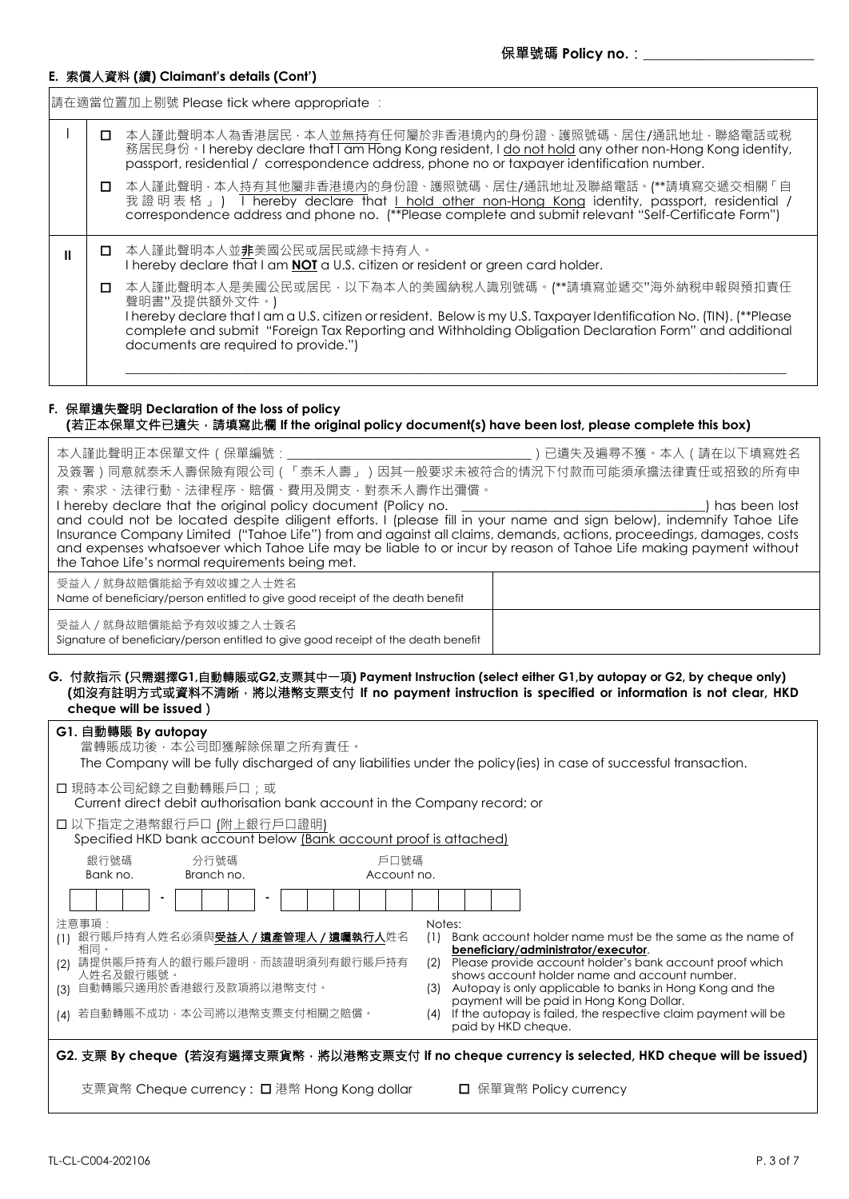## **E.** 索償人資料 **(**續**) Claimant's details (Cont')**

請在適當位置加上剔號 Please tick where appropriate :

I | O 本人謹此聲明本人為香港居民 · 本人並無持有任何屬於非香港境內的身份證、護照號碼、居住/通訊地址 · 聯絡電話或稅 ·<br>務居民身份。I hereby declare that I am Hong Kong resident, I do not hold any other non-Hong Kong identity, passport, residential / correspondence address, phone no or taxpayer identification number. 本人謹此聲明,本人持有其他屬非香港境內的身份證、護照號碼、居住/通訊地址及聯絡電話。(\*\*請填寫交遞交相關「自 我證明表格」) I hereby declare that <u>I hold other non-Hong Kong</u> identity, passport, residential / correspondence address and phone no. (\*\*Please complete and submit relevant "Self-Certificate Form") ■ ┃ **□** 本人謹此聲明本人並<u>非</u>美國公民或居民或綠卡持有人。 I hereby declare that I am **NOT** a U.S. citizen or resident or green card holder.<br>
■ 本人謹此聲明本人是美國公民或居民,以下為本人的美國納稅人識別號碼。(\*\*請填寫 本人謹此聲明本人是美國公民或居民,以下為本人的美國納稅人識別號碼。(\*\*請填寫並遞交"海外納稅申報與預扣責任 聲明書"及提供額外文件。) I hereby declare that I am a U.S. citizen or resident. Below is my U.S. Taxpayer Identification No. (TIN). (\*\*Please complete and submit "Foreign Tax Reporting and Withholding Obligation Declaration Form" and additional documents are required to provide.")  $\mathcal{L}_\mathcal{L} = \{ \mathcal{L}_\mathcal{L} = \{ \mathcal{L}_\mathcal{L} = \{ \mathcal{L}_\mathcal{L} = \{ \mathcal{L}_\mathcal{L} = \{ \mathcal{L}_\mathcal{L} = \{ \mathcal{L}_\mathcal{L} = \{ \mathcal{L}_\mathcal{L} = \{ \mathcal{L}_\mathcal{L} = \{ \mathcal{L}_\mathcal{L} = \{ \mathcal{L}_\mathcal{L} = \{ \mathcal{L}_\mathcal{L} = \{ \mathcal{L}_\mathcal{L} = \{ \mathcal{L}_\mathcal{L} = \{ \mathcal{L}_\mathcal{$ 

## **F.** 保單遺失聲明 **Declaration of the loss of policy (**若正本保單文件已遺失,請填寫此欄 **If the original policy document(s) have been lost, please complete this box)**

| 本人謹此聲明正本保單文件 (保單編號:__                                                                                                                                                                                                                    | ) 已遺失及遍尋不獲。本人 ( 請在以下填寫姓名                                                                                  |
|------------------------------------------------------------------------------------------------------------------------------------------------------------------------------------------------------------------------------------------|-----------------------------------------------------------------------------------------------------------|
| 及簽署)同意就泰禾人壽保險有限公司(「泰禾人壽」)因其一般要求未被符合的情況下付款而可能須承擔法律責任或招致的所有申                                                                                                                                                                               |                                                                                                           |
| 索、索求、法律行動、法律程序、賠償、費用及開支,對泰禾人壽作出彌償。                                                                                                                                                                                                       |                                                                                                           |
| I hereby declare that the original policy document (Policy no.                                                                                                                                                                           | ) has been lost                                                                                           |
| and could not be located despite diligent efforts. I (please fill in your name and sign below), indemnify Tahoe Life                                                                                                                     |                                                                                                           |
| Insurance Company Limited ("Tahoe Life") from and against all claims, demands, actions, proceedings, damages, costs<br>and expenses whatsoever which Tahoe Life may be liable to or incur by reason of Tahoe Life making payment without |                                                                                                           |
| the Tahoe Life's normal requirements being met.                                                                                                                                                                                          |                                                                                                           |
| 受益人 / 就身故賠償能給予有效收據之人士姓名                                                                                                                                                                                                                  |                                                                                                           |
| Name of beneficiary/person entitled to give good receipt of the death benefit                                                                                                                                                            |                                                                                                           |
| 受益人 / 就身故賠償能給予有效收據之人士簽名                                                                                                                                                                                                                  |                                                                                                           |
| Signature of beneficiary/person entitled to give good receipt of the death benefit                                                                                                                                                       |                                                                                                           |
|                                                                                                                                                                                                                                          |                                                                                                           |
| G. 付款指示 (只需選擇G1,自動轉賬或G2,支票其中一項) Payment Instruction (select either G1,by autopay or G2, by cheque only)                                                                                                                                  |                                                                                                           |
| (如沒有註明方式或資料不清晰,將以港幣支票支付 If no payment instruction is specified or information is not clear, HKD<br>cheque will be issued)                                                                                                                |                                                                                                           |
|                                                                                                                                                                                                                                          |                                                                                                           |
| G1. 自動轉賬 By autopay<br>當轉賬成功後,本公司即獲解除保單之所有責任。                                                                                                                                                                                            |                                                                                                           |
| The Company will be fully discharged of any liabilities under the policy(ies) in case of successful transaction.                                                                                                                         |                                                                                                           |
|                                                                                                                                                                                                                                          |                                                                                                           |
| □ 現時本公司紀錄之自動轉賬戶口;或<br>Current direct debit authorisation bank account in the Company record; or                                                                                                                                          |                                                                                                           |
|                                                                                                                                                                                                                                          |                                                                                                           |
| □ 以下指定之港幣銀行戶口 (附上銀行戶口證明)<br>Specified HKD bank account below (Bank account proof is attached)                                                                                                                                            |                                                                                                           |
| 戶口號碼                                                                                                                                                                                                                                     |                                                                                                           |
| 銀行號碼<br>分行號碼<br>Bank no.<br>Branch no.<br>Account no.                                                                                                                                                                                    |                                                                                                           |
|                                                                                                                                                                                                                                          |                                                                                                           |
|                                                                                                                                                                                                                                          |                                                                                                           |
| 注意事項:                                                                                                                                                                                                                                    | Notes:                                                                                                    |
| (1) 銀行賬戶持有人姓名必須與受益人 / 遺產管理人 / 遺囑執行人姓名<br>相同。                                                                                                                                                                                             | Bank account holder name must be the same as the name of<br>(1)<br>beneficiary/administrator/executor.    |
| 請提供賬戶持有人的銀行賬戶證明,而該證明須列有銀行賬戶持有<br>(2)                                                                                                                                                                                                     | (2) Please provide account holder's bank account proof which                                              |
| 人姓名及銀行賬號。<br>(3) 自動轉賬只適用於香港銀行及款項將以港幣支付。                                                                                                                                                                                                  | shows account holder name and account number.                                                             |
|                                                                                                                                                                                                                                          | (3) Autopay is only applicable to banks in Hong Kong and the<br>payment will be paid in Hong Kong Dollar. |
| (4) 若自動轉賬不成功,本公司將以港幣支票支付相關之賠償。                                                                                                                                                                                                           | If the autopay is failed, the respective claim payment will be<br>(4)                                     |
|                                                                                                                                                                                                                                          | paid by HKD cheque.                                                                                       |
| G2. 支票 By cheque (若沒有選擇支票貨幣 · 將以港幣支票支付 If no cheque currency is selected, HKD cheque will be issued)                                                                                                                                     |                                                                                                           |
|                                                                                                                                                                                                                                          |                                                                                                           |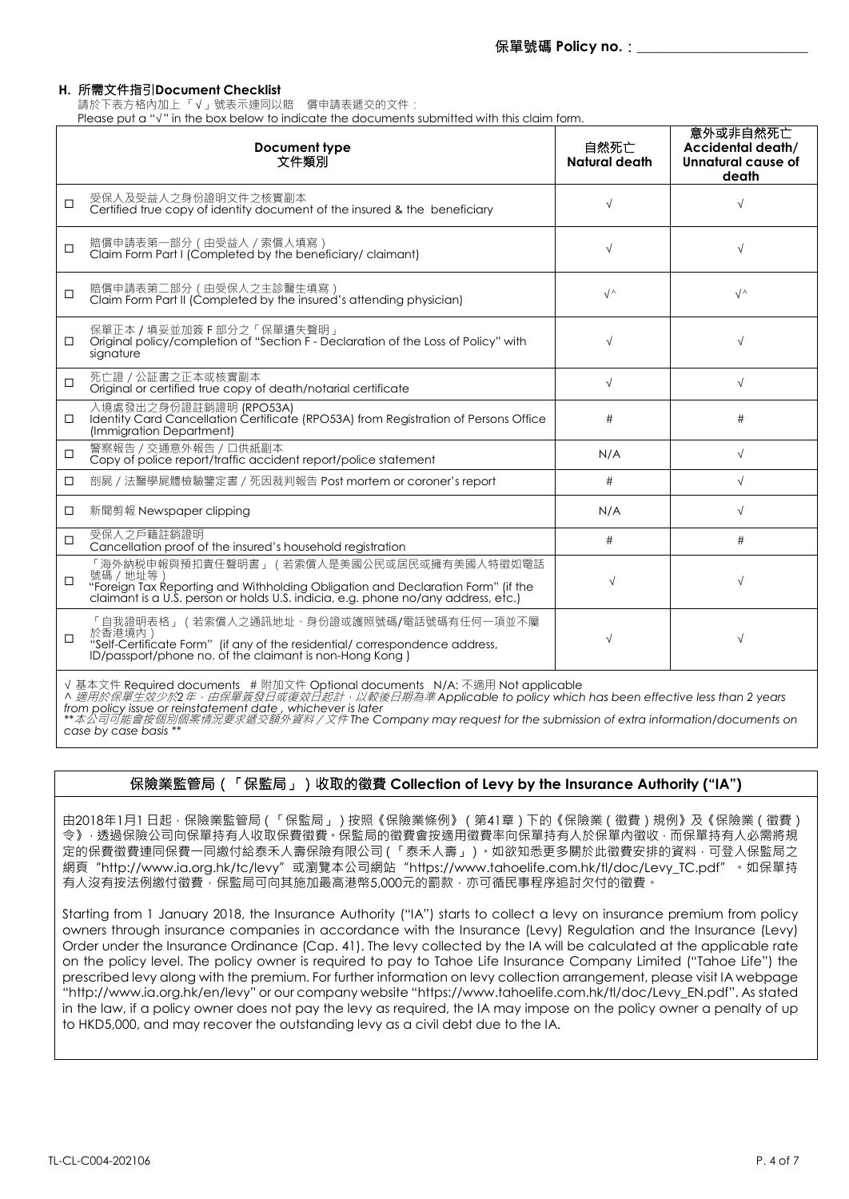## **H.** 所需文件指引**Document Checklist**

請於下表方格內加上 「√」號表示連同以賠 償申請表遞交的文件:

Please put a "√" in the box below to indicate the documents submitted with this claim form.

|        | Document type<br>文件類別                                                                                                                                                                                                      | 自然死亡<br>Natural death | 意外或非自然死亡<br>Accidental death/<br>Unnatural cause of<br>death |
|--------|----------------------------------------------------------------------------------------------------------------------------------------------------------------------------------------------------------------------------|-----------------------|--------------------------------------------------------------|
| $\Box$ | 受保人及受益人之身份證明文件之核實副本<br>Certified true copy of identity document of the insured & the beneficiary                                                                                                                           | $\sqrt{}$             |                                                              |
| □      | 賠償申請表第一部分 (由受益人 / 索償人填寫)<br>Claim Form Part I (Completed by the beneficiary/ claimant)                                                                                                                                     | $\sqrt{}$             | $\sqrt{ }$                                                   |
| $\Box$ | 賠償申請表第二部分 (由受保人之主診醫生填寫)<br>Claim Form Part II (Completed by the insured's attending physician)                                                                                                                             | $\sqrt{ }$            | $\sqrt{ }$                                                   |
| □      | 保單正本 / 填妥並加簽 F 部分之 「 保單遺失聲明 」<br>Original policy/completion of "Section F-Declaration of the Loss of Policy" with<br>signature                                                                                             | $\sqrt{}$             | $\sqrt{}$                                                    |
| $\Box$ | 死亡證 / 公証書之正本或核實副本<br>Original or certified true copy of death/notarial certificate                                                                                                                                         | $\sqrt{ }$            | $\sqrt{}$                                                    |
| $\Box$ | 入境處發出之身份證註銷證明 (RPO53A)<br>Identity Card Cancellation Certificate (RPO53A) from Registration of Persons Office<br>(Immigration Department)                                                                                  | #                     | #                                                            |
| $\Box$ | 警察報告 / 交通意外報告 / 口供紙副本<br>Copy of police report/traffic accident report/police statement                                                                                                                                    | N/A                   | $\sqrt{}$                                                    |
| □      | 剖屍 / 法醫學屍體檢驗鑒定書 / 死因裁判報告 Post mortem or coroner's report                                                                                                                                                                   | #                     | $\sqrt{}$                                                    |
| □      | 新聞剪報 Newspaper clipping                                                                                                                                                                                                    | N/A                   | $\sqrt{}$                                                    |
| □      | 受保人之戶籍註鎖證明<br>Cancellation proof of the insured's household registration                                                                                                                                                   | #                     | #                                                            |
| $\Box$ | 「海外納税申報與預扣責任聲明書」(若索償人是美國公民或居民或擁有美國人特徵如電話<br>號碼 / 地址等)<br>"Foreign Tax Reporting and Withholding Obligation and Declaration Form" (if the claimant is a U.S. person or holds U.S. indicia, e.g. phone no/any address, etc.) | $\sqrt{}$             | √                                                            |
| $\Box$ | 「自我證明表格」 ( 若索償人之通訊地址、身份證或護照號碼/電話號碼有任何一項並不屬<br>於香港境內)<br>"Self-Certificate Form" (if any of the residential/correspondence address,<br>ID/passport/phone no. of the claimant is non-Hong Kong)                              | $\sqrt{}$             | $\sqrt{}$                                                    |

√ 基本文件 Required documents # 附加文件 Optional documents N/A: 不適用 Not applicable<br>^ *適用於保單生效少於*2*年,由保單簽發日或復效日起計,以較後日期為準* Applicable to policy which has been effective less than 2 years<br>from policy issue or reinstatement da

*\*\**本公司可能會按個別個案情況要求遞交額外資料/文件 *The Company may request for the submission of extra information/documents on case by case basis \*\**

# 保險業監管局(「保監局」)收取的徵費 **Collection of Levy by the Insurance Authority ("IA")**

由2018年1月1 日起,保險業監管局(「保監局」)按照《保險業條例》(第41章)下的《保險業(徵費)規例》及《保險業(徵費) 今》,透過保險公司向保單持有人收取保費徵費。保監局的徵費會按適用徵費率向保單持有人於保單內徵收,而保單持有人必需將規 定的保費徵費連同保費一同繳付給泰禾人壽保險有限公司(「泰禾人壽」)。如欲知悉更多關於此徵費安排的資料,可登入保監局之 網頁"http://www.ia.org.hk/tc/levy"或瀏覽本公司網站"https://www.tahoelife.com.hk/tl/doc/Levy\_TC.pdf"。如保單持 有人沒有按法例繳付徵費,保監局可向其施加最高港幣5,000元的罰款,亦可循民事程序追討欠付的徵費。

Starting from 1 January 2018, the Insurance Authority ("IA") starts to collect a levy on insurance premium from policy owners through insurance companies in accordance with the Insurance (Levy) Regulation and the Insurance (Levy) Order under the Insurance Ordinance (Cap. 41). The levy collected by the IA will be calculated at the applicable rate on the policy level. The policy owner is required to pay to Tahoe Life Insurance Company Limited ("Tahoe Life") the prescribed levy along with the premium. For further information on levy collection arrangement, please visit IA webpage "http://www.ia.org.hk/en/levy" or our company website "https://www.tahoelife.com.hk/tl/doc/Levy\_EN.pdf". As stated in the law, if a policy owner does not pay the levy as required, the IA may impose on the policy owner a penalty of up to HKD5,000, and may recover the outstanding levy as a civil debt due to the IA.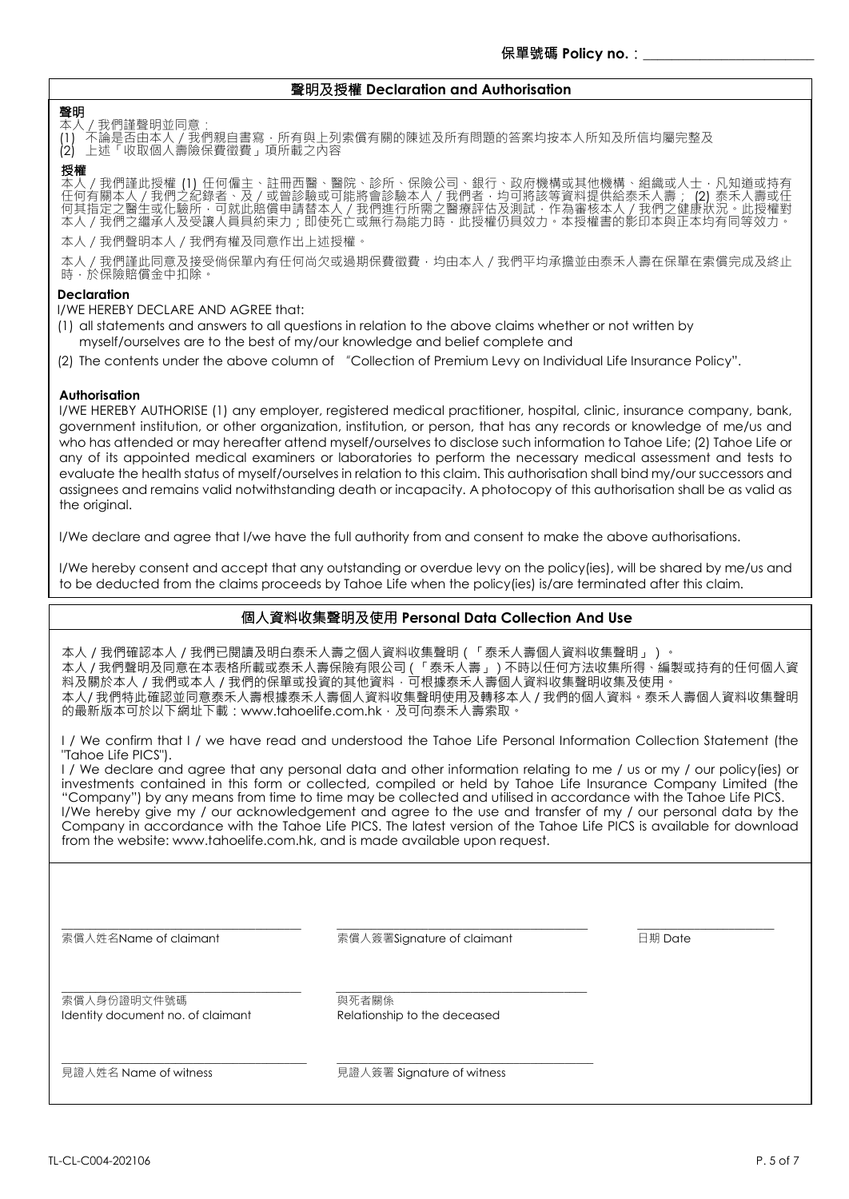### 聲明及授權 **Declaration and Authorisation**

### 聲明

本人/我們謹聲明並同意: (1) 不論是否由本人/我們親自書寫‧所有與上列索償有關的陳述及所有問題的答案均按本人所知及所信均屬完整及 (2) 上述「收取個人壽險保費徵費」項所載之內容

#### 授權

本人/我們謹此授權 (1) 任何僱主、註冊西醫、醫院、診所、保險公司、銀行、政府機構或其他機構、組織或人士,凡知道或持有 任何有關本人/我們之紀錄者、及/或曾診驗或可能將會診驗本人/我們者,均可將該等資料提供給泰禾人壽; (2) 泰禾人壽或任 何其指定之醫生或化驗所,可就此賠償申請替本人 / 我們進行所需之醫療評估及測試 · 作為審核本人 / 我們之健康狀況 · 此授權對 本人 / 我們之繼承人及受讓人員具約束力 ; 即使死亡或無行為能力時 · 此授權仍具效力。本授權書的影印本與正本均有同等效力。

本人/我們聲明本人/我們有權及同意作出上述授權。

本人/我們謹此同意及接受倘保單內有任何尚欠或過期保費徵費,均由本人/我們平均承擔並由泰禾人壽在保單在索償完成及終止 時,於保險賠償金中扣除。

### **Declaration**

I/WE HEREBY DECLARE AND AGREE that:

- (1) all statements and answers to all questions in relation to the above claims whether or not written by myself/ourselves are to the best of my/our knowledge and belief complete and
- (2) The contents under the above column of "Collection of Premium Levy on Individual Life Insurance Policy".

### **Authorisation**

I/WE HEREBY AUTHORISE (1) any employer, registered medical practitioner, hospital, clinic, insurance company, bank, government institution, or other organization, institution, or person, that has any records or knowledge of me/us and who has attended or may hereafter attend myself/ourselves to disclose such information to Tahoe Life; (2) Tahoe Life or any of its appointed medical examiners or laboratories to perform the necessary medical assessment and tests to evaluate the health status of myself/ourselves in relation to this claim. This authorisation shall bind my/our successors and assignees and remains valid notwithstanding death or incapacity. A photocopy of this authorisation shall be as valid as the original.

I/We declare and agree that I/we have the full authority from and consent to make the above authorisations.

I/We hereby consent and accept that any outstanding or overdue levy on the policy(ies), will be shared by me/us and to be deducted from the claims proceeds by Tahoe Life when the policy(ies) is/are terminated after this claim.

# 個人資料收集聲明及使用 **Personal Data Collection And Use**

本人 / 我們確認本人 / 我們已閱讀及明白泰禾人壽之個人資料收集聲明(「泰禾人壽個人資料收集聲明」)。 本人 / 我們聲明及同意在本表格所載或泰禾人壽保險有限公司(「泰禾人壽」)不時以任何方法收集所得、編製或持有的任何個人資 料及關於本人 / 我們或本人 / 我們的保單或投資的其他資料, 可根據泰禾人壽個人資料收集聲明收集及使用。 本人/ 我們特此確認並同意泰禾人壽根據泰禾人壽個人資料收集聲明使用及轉移本人 / 我們的個人資料。泰禾人壽個人資料收集聲明 的最新版本可於以下網址下載:www.tahoelife.com.hk,及可向泰禾人壽索取。

I / We confirm that I / we have read and understood the Tahoe Life Personal Information Collection Statement (the "Tahoe Life PICS").

I / We declare and agree that any personal data and other information relating to me / us or my / our policy(ies) or investments contained in this form or collected, compiled or held by Tahoe Life Insurance Company Limited (the "Company") by any means from time to time may be collected and utilised in accordance with the Tahoe Life PICS. I/We hereby give my / our acknowledgement and agree to the use and transfer of my / our personal data by the Company in accordance with the Tahoe Life PICS. The latest version of the Tahoe Life PICS is available for download from the website: www.tahoelife.com.hk, and is made available upon request.

索償人姓名Name of claimant

索償人簽署Signature of claimant

\_\_\_\_\_\_\_\_\_\_\_\_\_\_\_\_\_\_\_\_\_\_\_\_\_\_\_\_\_\_\_\_\_\_\_\_\_\_\_\_\_\_\_\_

\_\_\_\_\_\_\_\_\_\_\_\_\_\_\_\_\_\_\_\_\_\_\_\_\_\_\_\_\_\_\_\_\_\_\_\_\_\_\_\_\_\_\_\_

\_\_\_\_\_\_\_\_\_\_\_\_\_\_\_\_\_\_\_\_\_\_\_\_\_\_\_\_\_\_\_\_\_\_\_\_\_\_\_\_\_\_\_\_\_

 $\overline{\phantom{a}}$  , which is a set of the set of the set of the set of the set of the set of the set of the set of the set of the set of the set of the set of the set of the set of the set of the set of the set of the set of th 日期 Date

索償人身份證明文件號碼 Identity document no. of claimant

\_\_\_\_\_\_\_\_\_\_\_\_\_\_\_\_\_\_\_\_\_\_\_\_\_\_\_\_\_\_\_\_\_\_\_\_\_\_\_\_\_\_

\_\_\_\_\_\_\_\_\_\_\_\_\_\_\_\_\_\_\_\_\_\_\_\_\_\_\_\_\_\_\_\_\_\_\_\_\_\_\_\_\_\_

\_\_\_\_\_\_\_\_\_\_\_\_\_\_\_\_\_\_\_\_\_\_\_\_\_\_\_\_\_\_\_\_\_\_\_\_\_\_\_\_\_\_\_

與死者關係 Relationship to the deceased

見證人姓名 Name of witness

見證人簽署 Signature of witness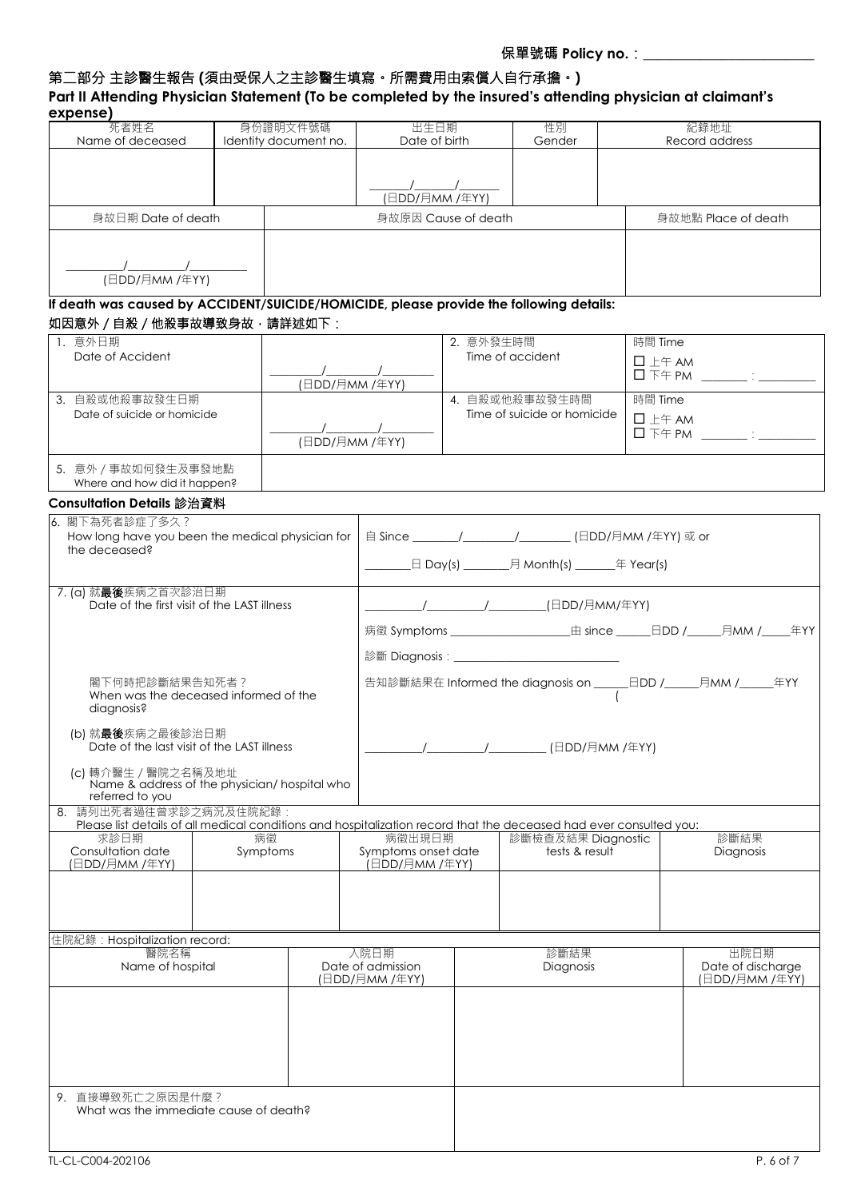# 第二部分 主診醫生報告 **(**須由受保人之主診醫生填寫。所需費用由索償人自行承擔。**)**

| expense)<br>死者姓名                                                                                                           |          | 身份證明文件號碼              | 出生日期                      |                      | 性別                                                        | 紀錄地址                      |
|----------------------------------------------------------------------------------------------------------------------------|----------|-----------------------|---------------------------|----------------------|-----------------------------------------------------------|---------------------------|
| Name of deceased                                                                                                           |          | Identity document no. | Date of birth             |                      | Gender                                                    | Record address            |
|                                                                                                                            |          |                       |                           |                      |                                                           |                           |
|                                                                                                                            |          |                       |                           | $\frac{1}{\sqrt{2}}$ |                                                           |                           |
|                                                                                                                            |          |                       | (日DD/月MM /年YY)            |                      |                                                           |                           |
| 身故日期 Date of death                                                                                                         |          |                       |                           | 身故原因 Cause of death  |                                                           | 身故地點 Place of death       |
|                                                                                                                            |          |                       |                           |                      |                                                           |                           |
| (日DD/月MM /年YY)                                                                                                             |          |                       |                           |                      |                                                           |                           |
|                                                                                                                            |          |                       |                           |                      |                                                           |                           |
| If death was caused by ACCIDENT/SUICIDE/HOMICIDE, please provide the following details:<br>如因意外 / 自殺 / 他殺事故導致身故 · 請詳述如下:   |          |                       |                           |                      |                                                           |                           |
| 1. 意外日期                                                                                                                    |          |                       |                           | 2. 意外發生時間            |                                                           | 時間 Time                   |
| Date of Accident                                                                                                           |          |                       |                           |                      | Time of accident                                          | $\square$ $\pm$ $\mp$ AM  |
|                                                                                                                            |          | (日DD/月MM /年YY)        |                           |                      |                                                           |                           |
| 3. 自殺或他殺事故發生日期                                                                                                             |          |                       |                           |                      | 4. 自殺或他殺事故發生時間                                            | 時間 Time                   |
| Date of suicide or homicide                                                                                                |          |                       |                           |                      | Time of suicide or homicide                               | $\Box$ $\pm$ $\mp$ AM     |
|                                                                                                                            |          |                       |                           |                      |                                                           |                           |
|                                                                                                                            |          | (日DD/月MM /年YY)        |                           |                      |                                                           |                           |
| 5. 意外 / 事故如何發生及事發地點                                                                                                        |          |                       |                           |                      |                                                           |                           |
| Where and how did it happen?                                                                                               |          |                       |                           |                      |                                                           |                           |
| Consultation Details 診治資料                                                                                                  |          |                       |                           |                      |                                                           |                           |
| 6. 閣下為死者診症了多久?                                                                                                             |          |                       |                           |                      |                                                           |                           |
| How long have you been the medical physician for<br>the deceased?                                                          |          |                       |                           |                      | 自 Since ________/_________/___________(日DD/月MM /年YY) 或 or |                           |
|                                                                                                                            |          |                       |                           |                      | _日 Day(s) ________月 Month(s) _______年 Year(s)             |                           |
|                                                                                                                            |          |                       |                           |                      |                                                           |                           |
| 7. (a) 就最後疾病之首次診治日期<br>Date of the first visit of the LAST illness                                                         |          |                       |                           |                      |                                                           |                           |
|                                                                                                                            |          |                       |                           |                      |                                                           |                           |
|                                                                                                                            |          |                       |                           |                      |                                                           |                           |
|                                                                                                                            |          |                       |                           |                      |                                                           |                           |
| 閣下何時把診斷結果告知死者?                                                                                                             |          |                       |                           |                      |                                                           |                           |
| When was the deceased informed of the                                                                                      |          |                       |                           |                      |                                                           |                           |
| diagnosis?                                                                                                                 |          |                       |                           |                      |                                                           |                           |
| (b) 就最後疾病之最後診治日期                                                                                                           |          |                       |                           |                      |                                                           |                           |
| Date of the last visit of the LAST illness                                                                                 |          |                       |                           |                      | (日DD/月MM /年YY)                                            |                           |
|                                                                                                                            |          |                       |                           |                      |                                                           |                           |
|                                                                                                                            |          |                       |                           |                      |                                                           |                           |
| (c)轉介醫生 / 醫院之名稱及地址<br>Name & address of the physician/ hospital who                                                        |          |                       |                           |                      |                                                           |                           |
| referred to you                                                                                                            |          |                       |                           |                      |                                                           |                           |
| 請列出死者過往曾求診之病況及住院紀錄:                                                                                                        |          |                       |                           |                      |                                                           |                           |
| Please list details of all medical conditions and hospitalization record that the deceased had ever consulted you:<br>求診日期 | 病徵       |                       | 病徵出現日期                    |                      | 診斷檢查及結果 Diagnostic                                        | 診斷結果                      |
|                                                                                                                            | Symptoms |                       | Symptoms onset date       |                      | tests & result                                            | Diagnosis                 |
| Consultation date<br>(日DD/月MM /年YY)                                                                                        |          |                       | .<br>(日DD/月MM /年YY)       |                      |                                                           |                           |
| 8.                                                                                                                         |          |                       |                           |                      |                                                           |                           |
|                                                                                                                            |          |                       |                           |                      |                                                           |                           |
|                                                                                                                            |          |                       |                           |                      |                                                           |                           |
| 住院紀錄: Hospitalization record:                                                                                              |          |                       |                           |                      |                                                           |                           |
| 醫院名稱<br>Name of hospital                                                                                                   |          |                       | 入院日期<br>Date of admission |                      | 診斷結果<br>Diagnosis                                         | 出院日期<br>Date of discharge |

9. 直接導致死亡之原因是什麼? What was the immediate cause of death?